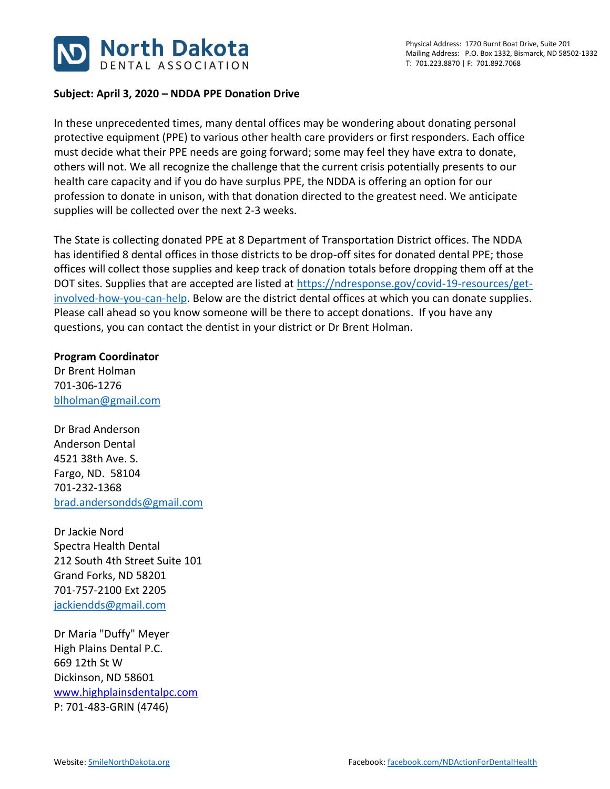

## **Subject: April 3, 2020 – NDDA PPE Donation Drive**

In these unprecedented times, many dental offices may be wondering about donating personal protective equipment (PPE) to various other health care providers or first responders. Each office must decide what their PPE needs are going forward; some may feel they have extra to donate, others will not. We all recognize the challenge that the current crisis potentially presents to our health care capacity and if you do have surplus PPE, the NDDA is offering an option for our profession to donate in unison, with that donation directed to the greatest need. We anticipate supplies will be collected over the next 2-3 weeks.

The State is collecting donated PPE at 8 Department of Transportation District offices. The NDDA has identified 8 dental offices in those districts to be drop-off sites for donated dental PPE; those offices will collect those supplies and keep track of donation totals before dropping them off at the DOT sites. Supplies that are accepted are listed at [https://ndresponse.gov/covid-19-resources/get](https://ndresponse.gov/covid-19-resources/get-involved-how-you-can-help)[involved-how-you-can-help.](https://ndresponse.gov/covid-19-resources/get-involved-how-you-can-help) Below are the district dental offices at which you can donate supplies. Please call ahead so you know someone will be there to accept donations. If you have any questions, you can contact the dentist in your district or Dr Brent Holman.

## **Program Coordinator**

Dr Brent Holman 701-306-1276 [blholman@gmail.com](mailto:blholman@gmail.com)

Dr Brad Anderson Anderson Dental 4521 38th Ave. S. Fargo, ND. 58104 701-232-1368 [brad.andersondds@gmail.com](mailto:brad.andersondds@gmail.com)

Dr Jackie Nord Spectra Health Dental 212 South 4th Street Suite 101 Grand Forks, ND 58201 701-757-2100 Ext 2205 [jackiendds@gmail.com](mailto:jackiendds@gmail.com)

Dr Maria "Duffy" Meyer High Plains Dental P.C. 669 12th St W Dickinson, ND 58601 [www.highplainsdentalpc.com](http://www.highplainsdentalpc.com/) P: 701-483-GRIN (4746)